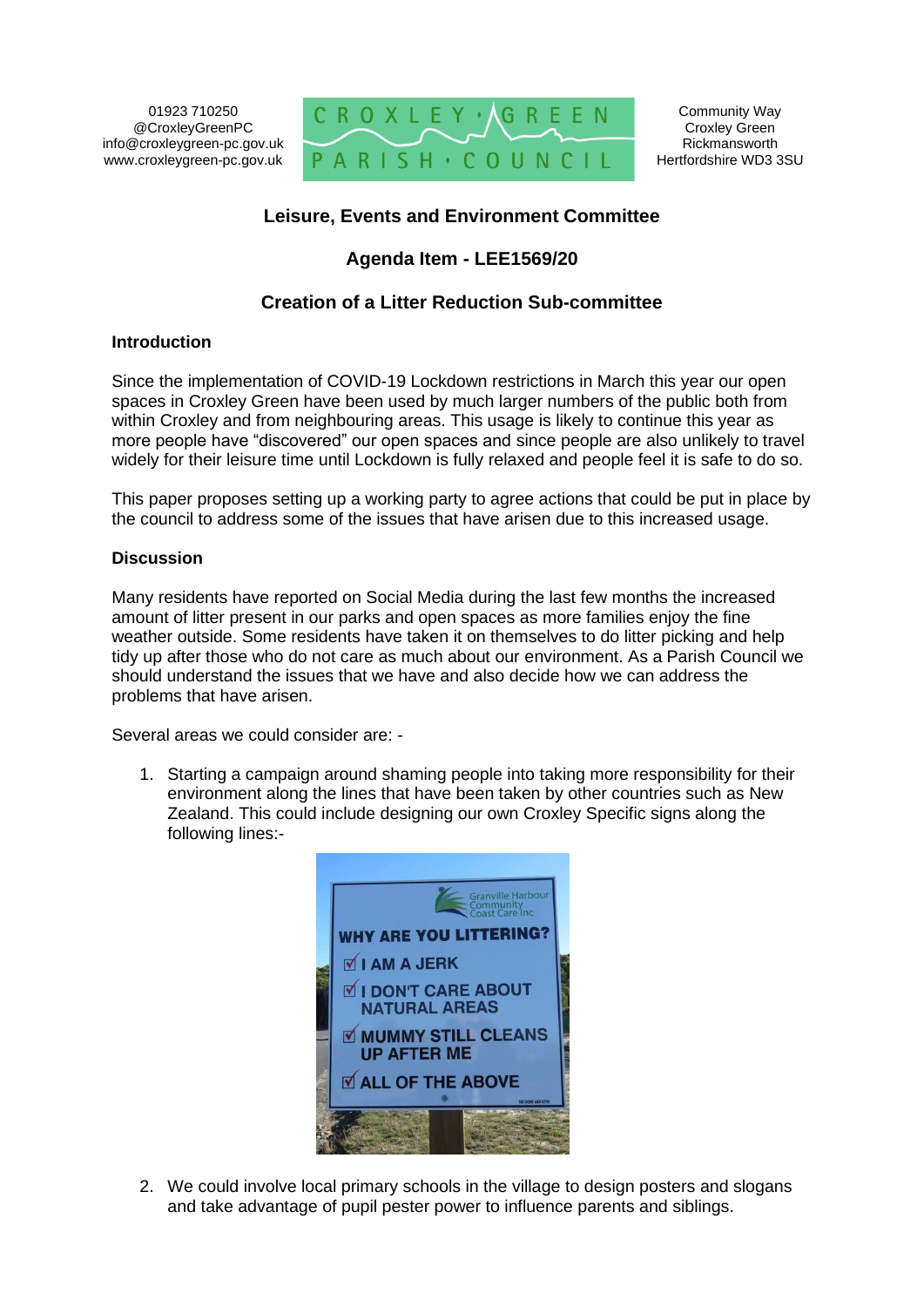01923 710250 @CroxleyGreenPC info@croxleygreen-pc.gov.uk www.croxleygreen-pc.gov.uk



# **Leisure, Events and Environment Committee**

# **Agenda Item - LEE1569/20**

# **Creation of a Litter Reduction Sub-committee**

### **Introduction**

Since the implementation of COVID-19 Lockdown restrictions in March this year our open spaces in Croxley Green have been used by much larger numbers of the public both from within Croxley and from neighbouring areas. This usage is likely to continue this year as more people have "discovered" our open spaces and since people are also unlikely to travel widely for their leisure time until Lockdown is fully relaxed and people feel it is safe to do so.

This paper proposes setting up a working party to agree actions that could be put in place by the council to address some of the issues that have arisen due to this increased usage.

### **Discussion**

Many residents have reported on Social Media during the last few months the increased amount of litter present in our parks and open spaces as more families enjoy the fine weather outside. Some residents have taken it on themselves to do litter picking and help tidy up after those who do not care as much about our environment. As a Parish Council we should understand the issues that we have and also decide how we can address the problems that have arisen.

Several areas we could consider are: -

1. Starting a campaign around shaming people into taking more responsibility for their environment along the lines that have been taken by other countries such as New Zealand. This could include designing our own Croxley Specific signs along the following lines:-



2. We could involve local primary schools in the village to design posters and slogans and take advantage of pupil pester power to influence parents and siblings.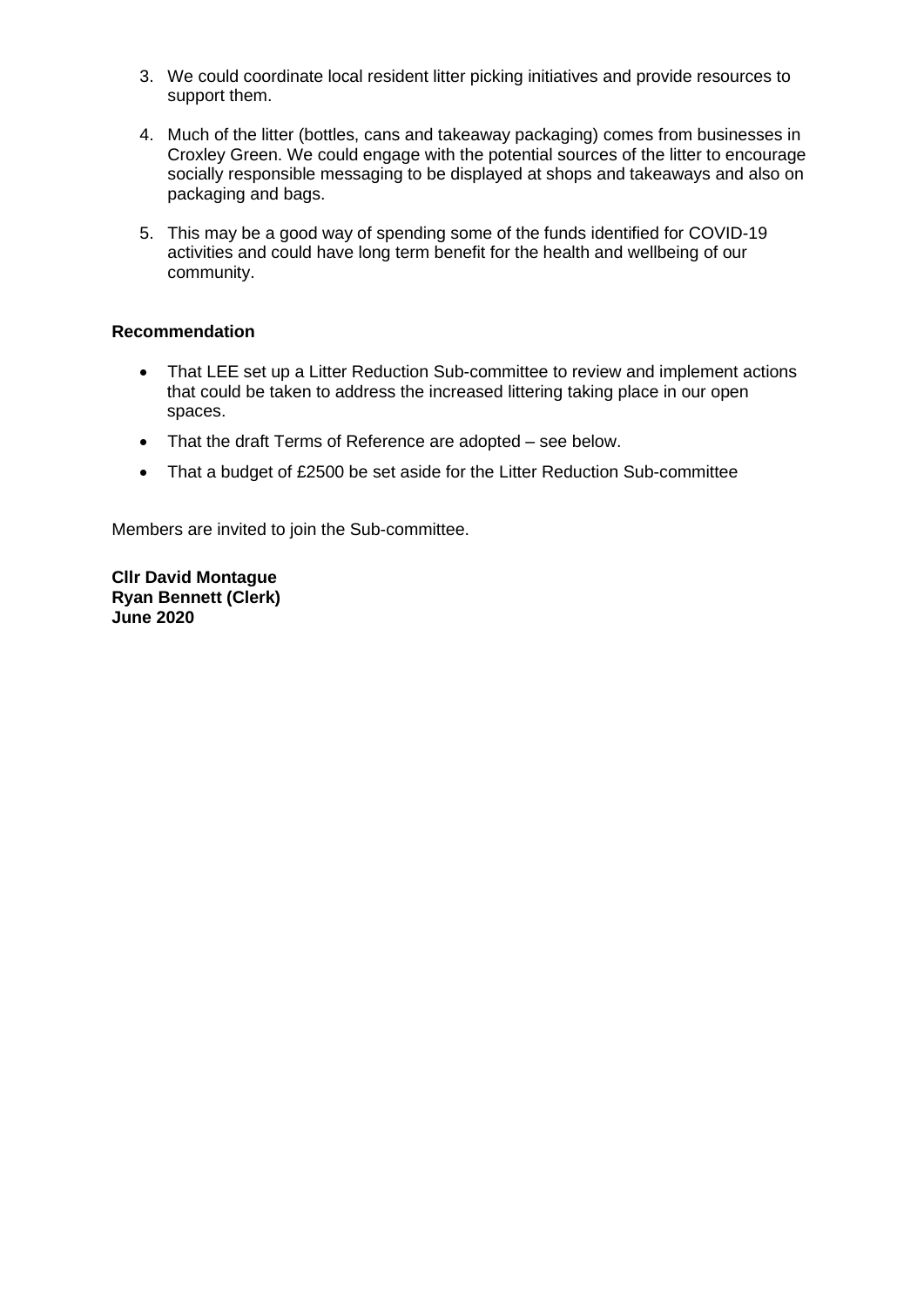- 3. We could coordinate local resident litter picking initiatives and provide resources to support them.
- 4. Much of the litter (bottles, cans and takeaway packaging) comes from businesses in Croxley Green. We could engage with the potential sources of the litter to encourage socially responsible messaging to be displayed at shops and takeaways and also on packaging and bags.
- 5. This may be a good way of spending some of the funds identified for COVID-19 activities and could have long term benefit for the health and wellbeing of our community.

### **Recommendation**

- That LEE set up a Litter Reduction Sub-committee to review and implement actions that could be taken to address the increased littering taking place in our open spaces.
- That the draft Terms of Reference are adopted see below.
- That a budget of £2500 be set aside for the Litter Reduction Sub-committee

Members are invited to join the Sub-committee.

**Cllr David Montague Ryan Bennett (Clerk) June 2020**